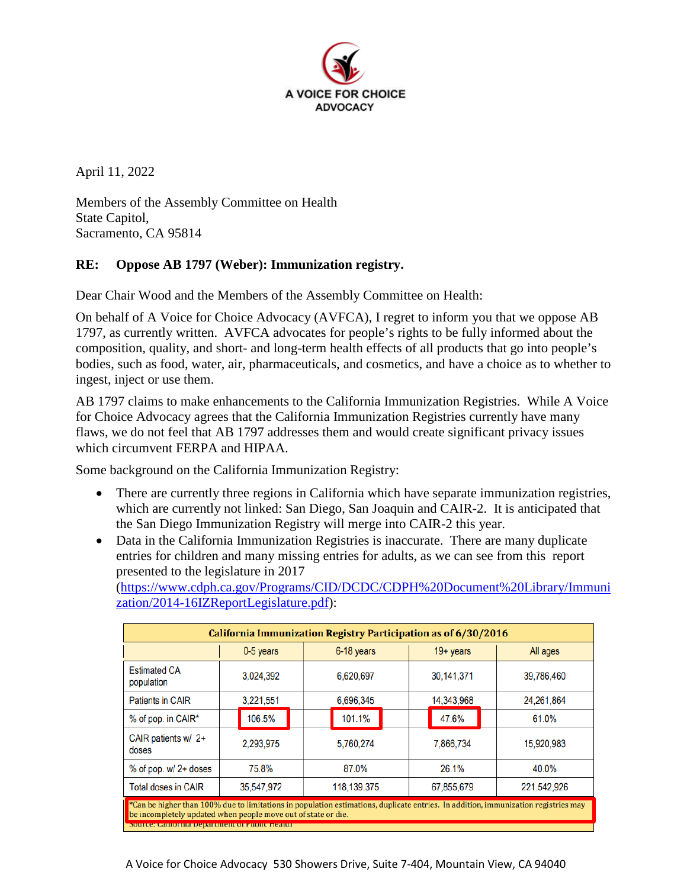

April 11, 2022

Members of the Assembly Committee on Health State Capitol, Sacramento, CA 95814

## **RE: Oppose AB 1797 (Weber): Immunization registry.**

Dear Chair Wood and the Members of the Assembly Committee on Health:

On behalf of A Voice for Choice Advocacy (AVFCA), I regret to inform you that we oppose AB 1797, as currently written. AVFCA advocates for people's rights to be fully informed about the composition, quality, and short- and long-term health effects of all products that go into people's bodies, such as food, water, air, pharmaceuticals, and cosmetics, and have a choice as to whether to ingest, inject or use them.

AB 1797 claims to make enhancements to the California Immunization Registries. While A Voice for Choice Advocacy agrees that the California Immunization Registries currently have many flaws, we do not feel that AB 1797 addresses them and would create significant privacy issues which circumvent FERPA and HIPAA.

Some background on the California Immunization Registry:

- There are currently three regions in California which have separate immunization registries, which are currently not linked: San Diego, San Joaquin and CAIR-2. It is anticipated that the San Diego Immunization Registry will merge into CAIR-2 this year.
- Data in the California Immunization Registries is inaccurate. There are many duplicate entries for children and many missing entries for adults, as we can see from this report presented to the legislature in 2017

[\(https://www.cdph.ca.gov/Programs/CID/DCDC/CDPH%20Document%20Library/Immuni](https://www.cdph.ca.gov/Programs/CID/DCDC/CDPH%20Document%20Library/Immunization/2014-16IZReportLegislature.pdf) [zation/2014-16IZReportLegislature.pdf\)](https://www.cdph.ca.gov/Programs/CID/DCDC/CDPH%20Document%20Library/Immunization/2014-16IZReportLegislature.pdf):

| <b>California Immunization Registry Participation as of 6/30/2016</b>                                                                                                                               |            |             |                     |             |
|-----------------------------------------------------------------------------------------------------------------------------------------------------------------------------------------------------|------------|-------------|---------------------|-------------|
|                                                                                                                                                                                                     | 0-5 years  | 6-18 years  | $19 + \text{years}$ | All ages    |
| <b>Estimated CA</b><br>population                                                                                                                                                                   | 3,024,392  | 6,620,697   | 30,141,371          | 39,786,460  |
| <b>Patients in CAIR</b>                                                                                                                                                                             | 3.221.551  | 6,696,345   | 14,343,968          | 24,261,864  |
| % of pop. in CAIR*                                                                                                                                                                                  | 106.5%     | 101.1%      | 47.6%               | 61.0%       |
| CAIR patients $w/2+$<br>doses                                                                                                                                                                       | 2,293,975  | 5,760,274   | 7,866,734           | 15,920,983  |
| $%$ of pop. w/ 2+ doses                                                                                                                                                                             | 75.8%      | 87.0%       | 26.1%               | 40.0%       |
| <b>Total doses in CAIR</b>                                                                                                                                                                          | 35,547,972 | 118,139.375 | 67,855,679          | 221.542,926 |
| *Can be higher than 100% due to limitations in population estimations, duplicate entries. In addition, immunization registries may<br>be incompletely updated when people move out of state or die. |            |             |                     |             |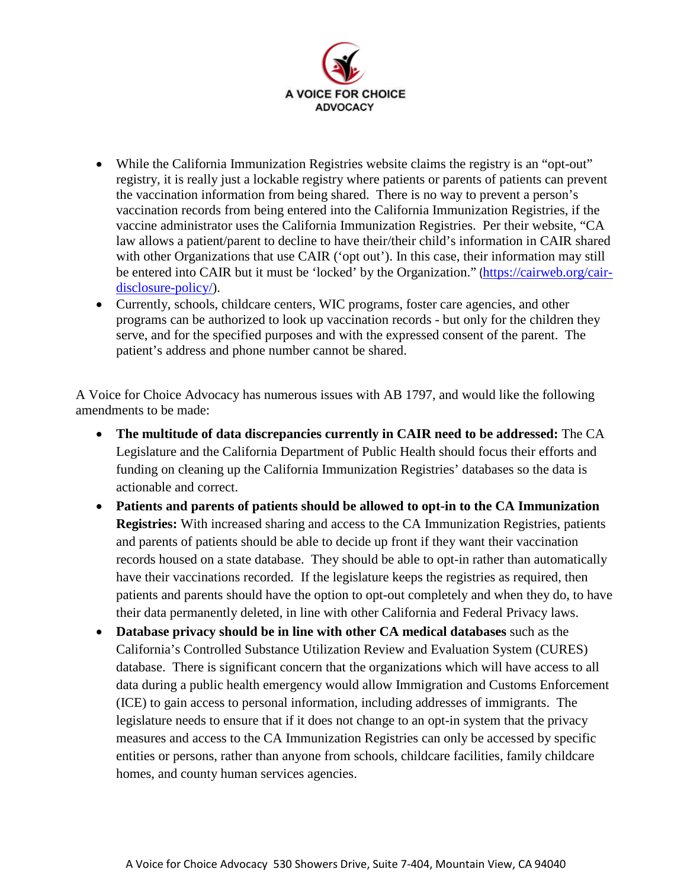

- While the California Immunization Registries website claims the registry is an "opt-out" registry, it is really just a lockable registry where patients or parents of patients can prevent the vaccination information from being shared. There is no way to prevent a person's vaccination records from being entered into the California Immunization Registries, if the vaccine administrator uses the California Immunization Registries. Per their website, "CA law allows a patient/parent to decline to have their/their child's information in CAIR shared with other Organizations that use CAIR ('opt out'). In this case, their information may still be entered into CAIR but it must be 'locked' by the Organization." ([https://cairweb.org/cair](https://cairweb.org/cair-disclosure-policy/)[disclosure-policy/\)](https://cairweb.org/cair-disclosure-policy/).
- Currently, schools, childcare centers, WIC programs, foster care agencies, and other programs can be authorized to look up vaccination records - but only for the children they serve, and for the specified purposes and with the expressed consent of the parent. The patient's address and phone number cannot be shared.

A Voice for Choice Advocacy has numerous issues with AB 1797, and would like the following amendments to be made:

- **The multitude of data discrepancies currently in CAIR need to be addressed:** The CA Legislature and the California Department of Public Health should focus their efforts and funding on cleaning up the California Immunization Registries' databases so the data is actionable and correct.
- **Patients and parents of patients should be allowed to opt-in to the CA Immunization Registries:** With increased sharing and access to the CA Immunization Registries, patients and parents of patients should be able to decide up front if they want their vaccination records housed on a state database. They should be able to opt-in rather than automatically have their vaccinations recorded. If the legislature keeps the registries as required, then patients and parents should have the option to opt-out completely and when they do, to have their data permanently deleted, in line with other California and Federal Privacy laws.
- **Database privacy should be in line with other CA medical databases** such as the California's Controlled Substance Utilization Review and Evaluation System (CURES) database. There is significant concern that the organizations which will have access to all data during a public health emergency would allow Immigration and Customs Enforcement (ICE) to gain access to personal information, including addresses of immigrants. The legislature needs to ensure that if it does not change to an opt-in system that the privacy measures and access to the CA Immunization Registries can only be accessed by specific entities or persons, rather than anyone from schools, childcare facilities, family childcare homes, and county human services agencies.